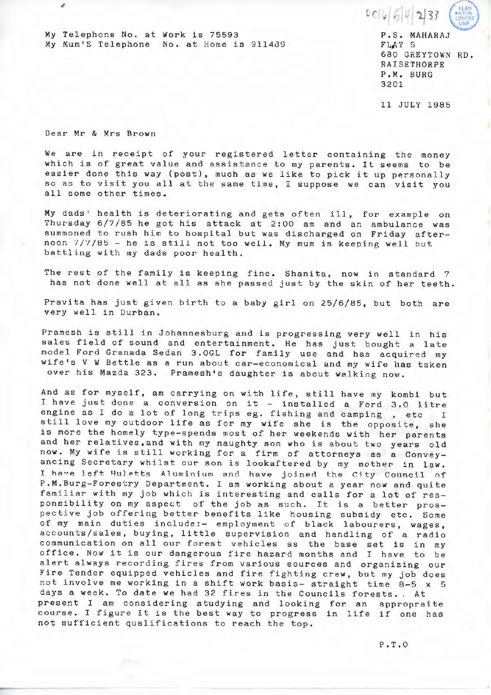$0$  c (4 5 4

My Telephone No. at Work is 75593 My Mum'S Telephone No. at Home is 911489 P.S. MAHARAJ FLAT 5 680 GREYTOWN RD . RAISETHORPE P . M. BURG 3201

11 JULY 1985

Dear Mr & Mrs Brown

,

We are in receipt of your registered letter containing the money which is of great value and assistance to my parents. It seems to be easier done this way (post), much as we like to pick it up personally so as to visit you all at the same time, I suppose we can visit you all some other times.

My dads' health is deteriorating and gets often ill, for example on Thursday 6/7/85 he got his attack at 2:00 am and an ambulance was summoned to rush him to hospital but was discharged on Friday afternoon 7/7/85 - he is still not too well. My mum is keeping well but battling with my dads poor health.

The rest of the family is keeping fine. Shanita, now in standard 7 has not done well at all as she passed just by the skin of her teeth.

Pravita has just given birth to a baby girl on 25/6/85, but both are very well in Durban.

Pramesh is still in Johannesburg and is progressing very well in his sales field of sound and entertainment. He has just bought a late model Ford Granada Sedan 3 . OGL for family use and has acquired my wife's V W Bettle as a run about car-economical and my wife has taken over his Mazda 323. Pramesh's daughter is about walking now.

And as for myself, am carrying on with life, still have my kombi but I have just done a conversion on it - installed a Ford 3.0 litre engine as I do a lot of long trips eg. fishing and camping, etc I still love my outdoor life as for my wife she is the opposite, she is more the homely type-spends most of her weekends with her parents and her relatives,and with my naughty son who is about two years old and her relatives,and with my naughty son who is about two years old<br>now. My wife is still working for a firm of attorneys as a Conveyancing Secretary whilst our son is lookaftered by my mother in law. I have left Huletts Aluminium and have joined the City Council of P.M . Burg- Forestry Department. I am working about a year now and quite familiar with my job which is interesting and calls for a lot of responsibility on my aspect of the job as such. It is a better prospective job offering better benefits like housing subsidy etc. Some of my main duties include:- employment of black labourers, wages, accounts/sales, buying, little supervision and handling of a radio communication on all our forest vehicles as the base set is in my office. Now it is our dangerous fire hazard months and I have to be alert always recording fires from various sources and organizing our Fire Tender equipped vehicles and fire fighting crew, but my job does not involve me working in a shift work basis- straight time 8-5 x 5 days a week. To date we had 32 fires in the Councils forests.. At present I am considering studying and looking for an appropraite course. I figure it is the best way to progress in life if one has not sufficient qualifications to reach the top.